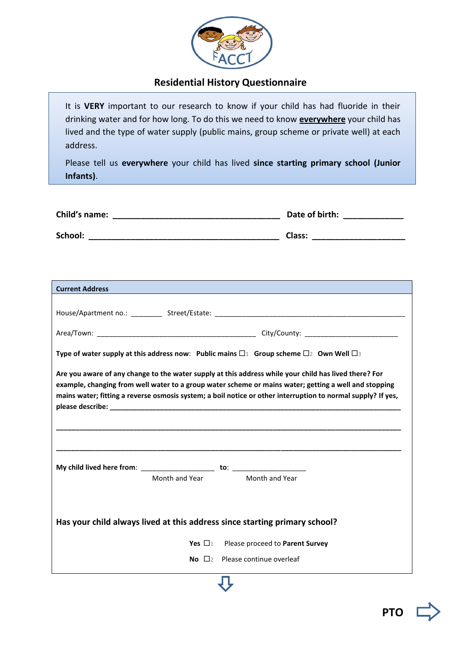

## **Residential History Questionnaire**

It is **VERY** important to our research to know if your child has had fluoride in their drinking water and for how long. To do this we need to know **everywhere** your child has lived and the type of water supply (public mains, group scheme or private well) at each address.

Please tell us **everywhere** your child has lived **since starting primary school (Junior Infants)**.

| Child's name: | Date of birth: |  |  |
|---------------|----------------|--|--|
|               |                |  |  |
| School:       | Class:         |  |  |

| <b>Current Address</b><br><b>STATE OF STATE OF STATE OF STATE OF STATE OF STATE OF STATE OF STATE OF STATE OF STATE OF STATE OF STATE OF S</b>                                                                                                                                                                                 |  |  |  |  |  |
|--------------------------------------------------------------------------------------------------------------------------------------------------------------------------------------------------------------------------------------------------------------------------------------------------------------------------------|--|--|--|--|--|
|                                                                                                                                                                                                                                                                                                                                |  |  |  |  |  |
|                                                                                                                                                                                                                                                                                                                                |  |  |  |  |  |
| Type of water supply at this address now: Public mains $\Box$ Group scheme $\Box$ 2 Own Well $\Box$ 3                                                                                                                                                                                                                          |  |  |  |  |  |
| Are you aware of any change to the water supply at this address while your child has lived there? For<br>example, changing from well water to a group water scheme or mains water; getting a well and stopping<br>mains water; fitting a reverse osmosis system; a boil notice or other interruption to normal supply? If yes, |  |  |  |  |  |
|                                                                                                                                                                                                                                                                                                                                |  |  |  |  |  |
| Month and Year<br>Month and Year                                                                                                                                                                                                                                                                                               |  |  |  |  |  |
| Has your child always lived at this address since starting primary school?                                                                                                                                                                                                                                                     |  |  |  |  |  |
| Yes $\Box$ <sub>1</sub> Please proceed to Parent Survey                                                                                                                                                                                                                                                                        |  |  |  |  |  |
| <b>No</b> $\Box$ <sub>2</sub> Please continue overleaf                                                                                                                                                                                                                                                                         |  |  |  |  |  |

Į Ļ